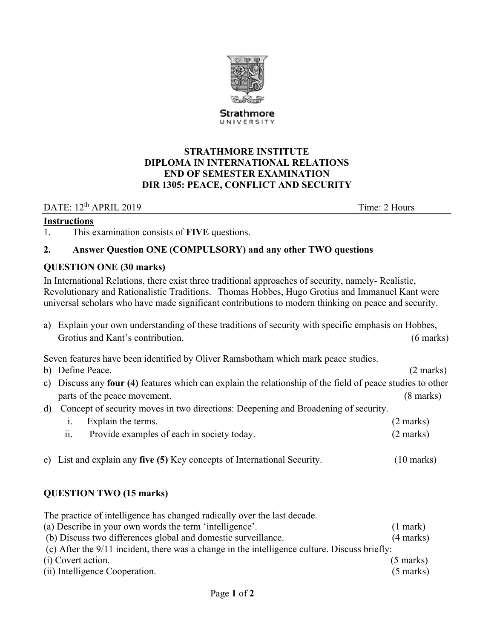

Strathmore UNIVERSITY

### **STRATHMORE INSTITUTE DIPLOMA IN INTERNATIONAL RELATIONS END OF SEMESTER EXAMINATION DIR 1305: PEACE, CONFLICT AND SECURITY**

DATE: 12<sup>th</sup> APRIL 2019 Time: 2 Hours

### **Instructions**

1. This examination consists of **FIVE** questions.

### **2. Answer Question ONE (COMPULSORY) and any other TWO questions**

### **QUESTION ONE (30 marks)**

In International Relations, there exist three traditional approaches of security, namely- Realistic, Revolutionary and Rationalistic Traditions. Thomas Hobbes, Hugo Grotius and Immanuel Kant were universal scholars who have made significant contributions to modern thinking on peace and security.

a) Explain your own understanding of these traditions of security with specific emphasis on Hobbes, Grotius and Kant's contribution. (6 marks) (6 marks)

Seven features have been identified by Oliver Ramsbotham which mark peace studies.

- b) Define Peace. (2 marks) (2 marks)
- c) Discuss any **four (4)** features which can explain the relationship of the field of peace studies to other parts of the peace movement. (8 marks)
- d) Concept of security moves in two directions: Deepening and Broadening of security.

| Explain the terms.                         | $(2 \text{ marks})$ |
|--------------------------------------------|---------------------|
| Provide examples of each in society today. | $(2 \text{ marks})$ |

e) List and explain any **five (5)** Key concepts of International Security. (10 marks)

# **QUESTION TWO (15 marks)**

The practice of intelligence has changed radically over the last decade.

| (a) Describe in your own words the term 'intelligence'.                                         | $(1$ mark)          |
|-------------------------------------------------------------------------------------------------|---------------------|
| (b) Discuss two differences global and domestic surveillance.                                   | $(4 \text{ marks})$ |
| (c) After the $9/11$ incident, there was a change in the intelligence culture. Discuss briefly: |                     |
| (i) Covert action.                                                                              | $(5 \text{ marks})$ |
| (ii) Intelligence Cooperation.                                                                  | $(5 \text{ marks})$ |